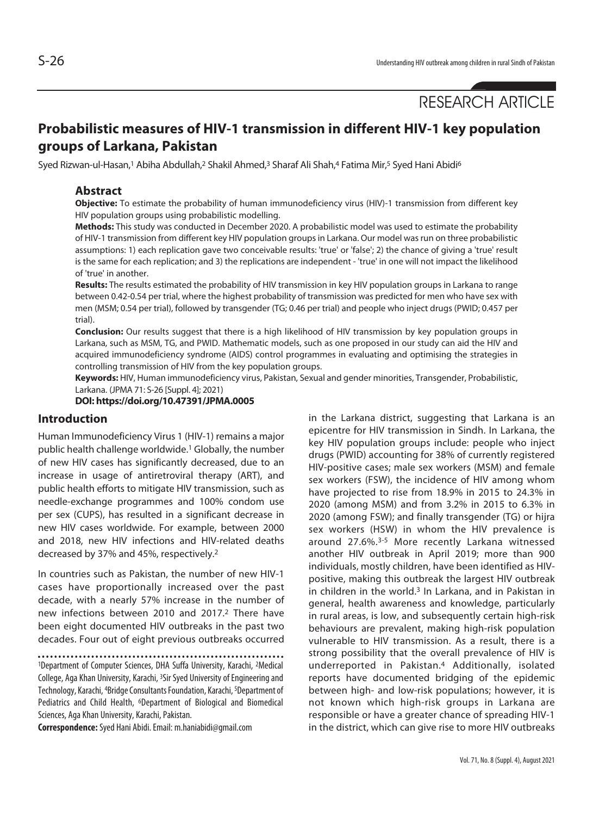# RESEARCH ARTICLE

# **Probabilistic measures of HIV-1 transmission in different HIV-1 key population groups of Larkana, Pakistan**

Syed Rizwan-ul-Hasan,<sup>1</sup> Abiha Abdullah,<sup>2</sup> Shakil Ahmed,<sup>3</sup> Sharaf Ali Shah,4 Fatima Mir,<sup>5</sup> Syed Hani Abidi<sup>6</sup>

# **Abstract**

**Objective:** To estimate the probability of human immunodeficiency virus (HIV)-1 transmission from different key HIV population groups using probabilistic modelling.

**Methods:** This study was conducted in December 2020. A probabilistic model was used to estimate the probability of HIV-1 transmission from different key HIV population groups in Larkana. Our model was run on three probabilistic assumptions: 1) each replication gave two conceivable results: 'true' or 'false'; 2) the chance of giving a 'true' result is the same for each replication; and 3) the replications are independent - 'true' in one will not impact the likelihood of 'true' in another.

**Results:** The results estimated the probability of HIV transmission in key HIV population groups in Larkana to range between 0.42-0.54 per trial, where the highest probability of transmission was predicted for men who have sex with men (MSM; 0.54 per trial), followed by transgender (TG; 0.46 per trial) and people who inject drugs (PWID; 0.457 per trial).

**Conclusion:** Our results suggest that there is a high likelihood of HIV transmission by key population groups in Larkana, such as MSM, TG, and PWID. Mathematic models, such as one proposed in our study can aid the HIV and acquired immunodeficiency syndrome (AIDS) control programmes in evaluating and optimising the strategies in controlling transmission of HIV from the key population groups.

**Keywords:** HIV, Human immunodeficiency virus, Pakistan, Sexual and gender minorities, Transgender, Probabilistic, Larkana. (JPMA 71: S-26 [Suppl. 4]; 2021)

**DOI: https://doi.org/10.47391/JPMA.0005**

# **Introduction**

Human Immunodeficiency Virus 1 (HIV-1) remains a major public health challenge worldwide.1 Globally, the number of new HIV cases has significantly decreased, due to an increase in usage of antiretroviral therapy (ART), and public health efforts to mitigate HIV transmission, such as needle-exchange programmes and 100% condom use per sex (CUPS), has resulted in a significant decrease in new HIV cases worldwide. For example, between 2000 and 2018, new HIV infections and HIV-related deaths decreased by 37% and 45%, respectively.2

In countries such as Pakistan, the number of new HIV-1 cases have proportionally increased over the past decade, with a nearly 57% increase in the number of new infections between 2010 and 2017.2 There have been eight documented HIV outbreaks in the past two decades. Four out of eight previous outbreaks occurred

1Department of Computer Sciences, DHA Suffa University, Karachi, 2Medical College, Aga Khan University, Karachi, 3Sir Syed University of Engineering and Technology, Karachi, 4Bridge Consultants Foundation, Karachi, 5Department of Pediatrics and Child Health, <sup>6</sup>Department of Biological and Biomedical Sciences, Aga Khan University, Karachi, Pakistan.

**Correspondence:** Syed Hani Abidi. Email: m.haniabidi@gmail.com

in the Larkana district, suggesting that Larkana is an epicentre for HIV transmission in Sindh. In Larkana, the key HIV population groups include: people who inject drugs (PWID) accounting for 38% of currently registered HIV-positive cases; male sex workers (MSM) and female sex workers (FSW), the incidence of HIV among whom have projected to rise from 18.9% in 2015 to 24.3% in 2020 (among MSM) and from 3.2% in 2015 to 6.3% in 2020 (among FSW); and finally transgender (TG) or hijra sex workers (HSW) in whom the HIV prevalence is around 27.6%.3-5 More recently Larkana witnessed another HIV outbreak in April 2019; more than 900 individuals, mostly children, have been identified as HIVpositive, making this outbreak the largest HIV outbreak in children in the world.<sup>3</sup> In Larkana, and in Pakistan in general, health awareness and knowledge, particularly in rural areas, is low, and subsequently certain high-risk behaviours are prevalent, making high-risk population vulnerable to HIV transmission. As a result, there is a strong possibility that the overall prevalence of HIV is underreported in Pakistan.4 Additionally, isolated reports have documented bridging of the epidemic between high- and low-risk populations; however, it is not known which high-risk groups in Larkana are responsible or have a greater chance of spreading HIV-1 in the district, which can give rise to more HIV outbreaks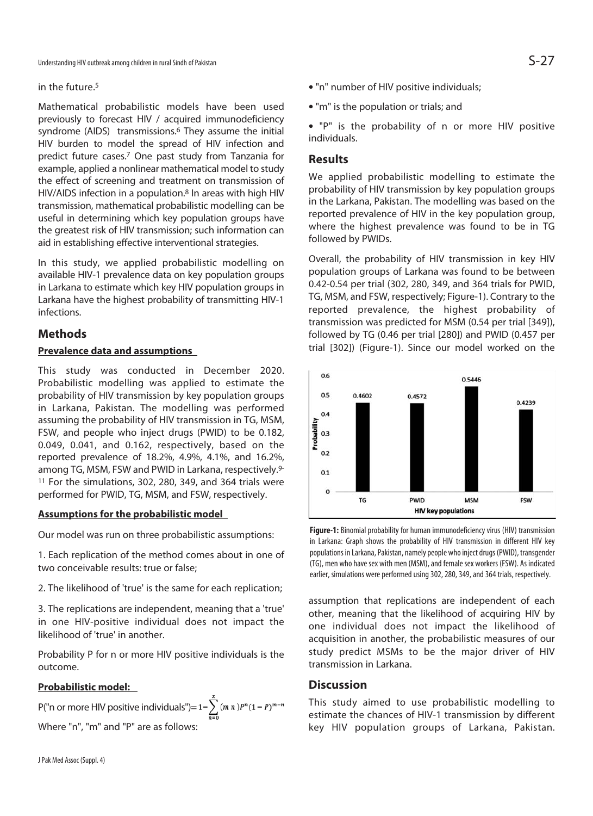#### in the future.5

Mathematical probabilistic models have been used previously to forecast HIV / acquired immunodeficiency syndrome (AIDS) transmissions.<sup>6</sup> They assume the initial HIV burden to model the spread of HIV infection and predict future cases.7 One past study from Tanzania for example, applied a nonlinear mathematical model to study the effect of screening and treatment on transmission of HIV/AIDS infection in a population.8 In areas with high HIV transmission, mathematical probabilistic modelling can be useful in determining which key population groups have the greatest risk of HIV transmission; such information can aid in establishing effective interventional strategies.

In this study, we applied probabilistic modelling on available HIV-1 prevalence data on key population groups in Larkana to estimate which key HIV population groups in Larkana have the highest probability of transmitting HIV-1 infections.

# **Methods**

### **Prevalence data and assumptions**

This study was conducted in December 2020. Probabilistic modelling was applied to estimate the probability of HIV transmission by key population groups in Larkana, Pakistan. The modelling was performed assuming the probability of HIV transmission in TG, MSM, FSW, and people who inject drugs (PWID) to be 0.182, 0.049, 0.041, and 0.162, respectively, based on the reported prevalence of 18.2%, 4.9%, 4.1%, and 16.2%, among TG, MSM, FSW and PWID in Larkana, respectively.9- 11 For the simulations, 302, 280, 349, and 364 trials were performed for PWID, TG, MSM, and FSW, respectively.

#### **Assumptions for the probabilistic model**

Our model was run on three probabilistic assumptions:

1. Each replication of the method comes about in one of two conceivable results: true or false;

2. The likelihood of 'true' is the same for each replication;

3. The replications are independent, meaning that a 'true' in one HIV-positive individual does not impact the likelihood of 'true' in another.

Probability P for n or more HIV positive individuals is the outcome.

#### **Probabilistic model:**

P("n or more HIV positive individuals")=  $1-\sum_{n=0}^{x} (m n)^{p} (1-P)^{m-n}$ Where "n", "m" and "P" are as follows:

- "n" number of HIV positive individuals:
- "m" is the population or trials; and

• "P" is the probability of n or more HIV positive individuals.

# **Results**

We applied probabilistic modelling to estimate the probability of HIV transmission by key population groups in the Larkana, Pakistan. The modelling was based on the reported prevalence of HIV in the key population group, where the highest prevalence was found to be in TG followed by PWIDs.

Overall, the probability of HIV transmission in key HIV population groups of Larkana was found to be between 0.42-0.54 per trial (302, 280, 349, and 364 trials for PWID, TG, MSM, and FSW, respectively; Figure-1). Contrary to the reported prevalence, the highest probability of transmission was predicted for MSM (0.54 per trial [349]), followed by TG (0.46 per trial [280]) and PWID (0.457 per trial [302]) (Figure-1). Since our model worked on the



**Figure-1:** Binomial probability for human immunodeficiency virus (HIV) transmission in Larkana: Graph shows the probability of HIV transmission in different HIV key populations in Larkana, Pakistan, namely people who inject drugs (PWID), transgender (TG), men who have sex with men (MSM), and female sex workers (FSW). As indicated earlier, simulations were performed using 302, 280, 349, and 364 trials, respectively.

assumption that replications are independent of each other, meaning that the likelihood of acquiring HIV by one individual does not impact the likelihood of acquisition in another, the probabilistic measures of our study predict MSMs to be the major driver of HIV transmission in Larkana.

# **Discussion**

This study aimed to use probabilistic modelling to estimate the chances of HIV-1 transmission by different key HIV population groups of Larkana, Pakistan.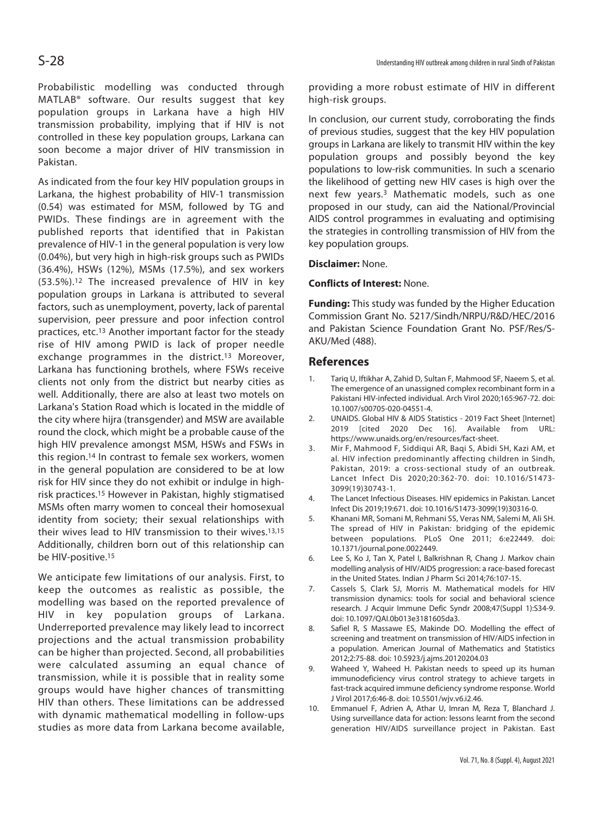Probabilistic modelling was conducted through MATLAB® software. Our results suggest that key population groups in Larkana have a high HIV transmission probability, implying that if HIV is not controlled in these key population groups, Larkana can soon become a major driver of HIV transmission in Pakistan.

As indicated from the four key HIV population groups in Larkana, the highest probability of HIV-1 transmission (0.54) was estimated for MSM, followed by TG and PWIDs. These findings are in agreement with the published reports that identified that in Pakistan prevalence of HIV-1 in the general population is very low (0.04%), but very high in high-risk groups such as PWIDs (36.4%), HSWs (12%), MSMs (17.5%), and sex workers (53.5%).12 The increased prevalence of HIV in key population groups in Larkana is attributed to several factors, such as unemployment, poverty, lack of parental supervision, peer pressure and poor infection control practices, etc.13 Another important factor for the steady rise of HIV among PWID is lack of proper needle exchange programmes in the district.<sup>13</sup> Moreover, Larkana has functioning brothels, where FSWs receive clients not only from the district but nearby cities as well. Additionally, there are also at least two motels on Larkana's Station Road which is located in the middle of the city where hijra (transgender) and MSW are available round the clock, which might be a probable cause of the high HIV prevalence amongst MSM, HSWs and FSWs in this region.14 In contrast to female sex workers, women in the general population are considered to be at low risk for HIV since they do not exhibit or indulge in highrisk practices.15 However in Pakistan, highly stigmatised MSMs often marry women to conceal their homosexual identity from society; their sexual relationships with their wives lead to HIV transmission to their wives.13,15 Additionally, children born out of this relationship can be HIV-positive.<sup>15</sup>

We anticipate few limitations of our analysis. First, to keep the outcomes as realistic as possible, the modelling was based on the reported prevalence of HIV in key population groups of Larkana. Underreported prevalence may likely lead to incorrect projections and the actual transmission probability can be higher than projected. Second, all probabilities were calculated assuming an equal chance of transmission, while it is possible that in reality some groups would have higher chances of transmitting HIV than others. These limitations can be addressed with dynamic mathematical modelling in follow-ups studies as more data from Larkana become available,

providing a more robust estimate of HIV in different high-risk groups.

In conclusion, our current study, corroborating the finds of previous studies, suggest that the key HIV population groups in Larkana are likely to transmit HIV within the key population groups and possibly beyond the key populations to low-risk communities. In such a scenario the likelihood of getting new HIV cases is high over the next few years.3 Mathematic models, such as one proposed in our study, can aid the National/Provincial AIDS control programmes in evaluating and optimising the strategies in controlling transmission of HIV from the key population groups.

#### **Disclaimer:** None.

#### **Conflicts of Interest:** None.

**Funding:** This study was funded by the Higher Education Commission Grant No. 5217/Sindh/NRPU/R&D/HEC/2016 and Pakistan Science Foundation Grant No. PSF/Res/S-AKU/Med (488).

#### **References**

- 1. Tariq U, Iftikhar A, Zahid D, Sultan F, Mahmood SF, Naeem S, et al. The emergence of an unassigned complex recombinant form in a Pakistani HIV-infected individual. Arch Virol 2020;165:967-72. doi: 10.1007/s00705-020-04551-4.
- 2. UNAIDS. Global HIV & AIDS Statistics 2019 Fact Sheet [Internet] 2019 [cited 2020 Dec 16]. Available from URL: https://www.unaids.org/en/resources/fact-sheet.
- 3. Mir F, Mahmood F, Siddiqui AR, Baqi S, Abidi SH, Kazi AM, et al. HIV infection predominantly affecting children in Sindh, Pakistan, 2019: a cross-sectional study of an outbreak. Lancet Infect Dis 2020;20:362-70. doi: 10.1016/S1473- 3099(19)30743-1.
- 4. The Lancet Infectious Diseases. HIV epidemics in Pakistan. Lancet Infect Dis 2019;19:671. doi: 10.1016/S1473-3099(19)30316-0.
- 5. Khanani MR, Somani M, Rehmani SS, Veras NM, Salemi M, Ali SH. The spread of HIV in Pakistan: bridging of the epidemic between populations. PLoS One 2011; 6:e22449. doi: 10.1371/journal.pone.0022449.
- 6. Lee S, Ko J, Tan X, Patel I, Balkrishnan R, Chang J. Markov chain modelling analysis of HIV/AIDS progression: a race-based forecast in the United States. Indian J Pharm Sci 2014;76:107-15.
- 7. Cassels S, Clark SJ, Morris M. Mathematical models for HIV transmission dynamics: tools for social and behavioral science research. J Acquir Immune Defic Syndr 2008;47(Suppl 1):S34-9. doi: 10.1097/QAI.0b013e3181605da3.
- 8. Safiel R, S Massawe ES, Makinde DO. Modelling the effect of screening and treatment on transmission of HIV/AIDS infection in a population. American Journal of Mathematics and Statistics 2012;2:75-88. doi: 10.5923/j.ajms.20120204.03
- 9. Waheed Y, Waheed H. Pakistan needs to speed up its human immunodeficiency virus control strategy to achieve targets in fast-track acquired immune deficiency syndrome response. World J Virol 2017;6:46-8. doi: 10.5501/wjv.v6.i2.46.
- 10. Emmanuel F, Adrien A, Athar U, Imran M, Reza T, Blanchard J. Using surveillance data for action: lessons learnt from the second generation HIV/AIDS surveillance project in Pakistan. East